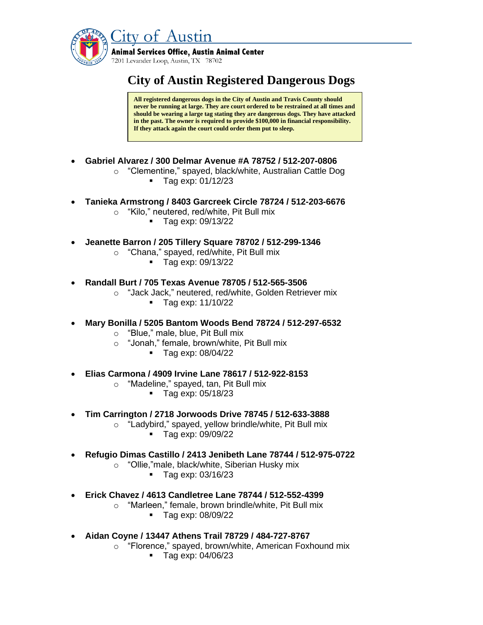

## **City of Austin Registered Dangerous Dogs**

**All registered dangerous dogs in the City of Austin and Travis County should never be running at large. They are court ordered to be restrained at all times and should be wearing a large tag stating they are dangerous dogs. They have attacked in the past. The owner is required to provide \$100,000 in financial responsibility. If they attack again the court could order them put to sleep.**

- **Gabriel Alvarez / 300 Delmar Avenue #A 78752 / 512-207-0806**
	- o "Clementine," spayed, black/white, Australian Cattle Dog ■ Tag exp: 01/12/23
- **Tanieka Armstrong / 8403 Garcreek Circle 78724 / 512-203-6676**
	- o "Kilo," neutered, red/white, Pit Bull mix
		- Tag exp: 09/13/22
- **Jeanette Barron / 205 Tillery Square 78702 / 512-299-1346**
	- o "Chana," spayed, red/white, Pit Bull mix
		- Tag exp: 09/13/22
- **Randall Burt / 705 Texas Avenue 78705 / 512-565-3506**
	- o "Jack Jack," neutered, red/white, Golden Retriever mix
		- Tag exp: 11/10/22
- **Mary Bonilla / 5205 Bantom Woods Bend 78724 / 512-297-6532**
	- o "Blue," male, blue, Pit Bull mix
	- o "Jonah," female, brown/white, Pit Bull mix
		- Tag exp: 08/04/22
- **Elias Carmona / 4909 Irvine Lane 78617 / 512-922-8153**
	- o "Madeline," spayed, tan, Pit Bull mix
		- Tag exp: 05/18/23
- **Tim Carrington / 2718 Jorwoods Drive 78745 / 512-633-3888**
	- o "Ladybird," spayed, yellow brindle/white, Pit Bull mix
		- Tag exp: 09/09/22
- **Refugio Dimas Castillo / 2413 Jenibeth Lane 78744 / 512-975-0722**
	- o "Ollie,"male, black/white, Siberian Husky mix
		- Tag exp: 03/16/23
- **Erick Chavez / 4613 Candletree Lane 78744 / 512-552-4399**
	- o "Marleen," female, brown brindle/white, Pit Bull mix
		- Tag exp: 08/09/22
- **Aidan Coyne / 13447 Athens Trail 78729 / 484-727-8767**
	- o "Florence," spayed, brown/white, American Foxhound mix
		- Tag exp: 04/06/23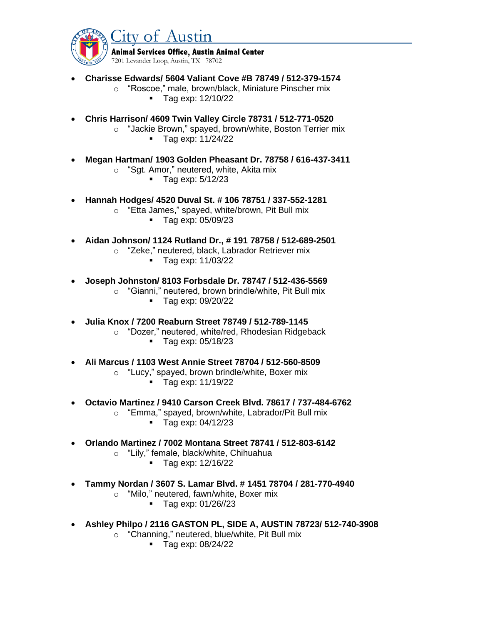

- **Charisse Edwards/ 5604 Valiant Cove #B 78749 / 512-379-1574**
	- o "Roscoe," male, brown/black, Miniature Pinscher mix ■ Tag exp: 12/10/22
- **Chris Harrison/ 4609 Twin Valley Circle 78731 / 512-771-0520**
	- o "Jackie Brown," spayed, brown/white, Boston Terrier mix
		- Tag exp: 11/24/22
- **Megan Hartman/ 1903 Golden Pheasant Dr. 78758 / 616-437-3411**
	- o "Sgt. Amor," neutered, white, Akita mix
		- Tag exp: 5/12/23
- **Hannah Hodges/ 4520 Duval St. # 106 78751 / 337-552-1281**
	- o "Etta James," spayed, white/brown, Pit Bull mix
		- Tag exp: 05/09/23
- **Aidan Johnson/ 1124 Rutland Dr., # 191 78758 / 512-689-2501**
	- o "Zeke," neutered, black, Labrador Retriever mix
		- Tag exp: 11/03/22
- **Joseph Johnston/ 8103 Forbsdale Dr. 78747 / 512-436-5569**
	- o "Gianni," neutered, brown brindle/white, Pit Bull mix
		- Tag exp: 09/20/22
- **Julia Knox / 7200 Reaburn Street 78749 / 512-789-1145**
	- o "Dozer," neutered, white/red, Rhodesian Ridgeback
		- Tag exp: 05/18/23
- **Ali Marcus / 1103 West Annie Street 78704 / 512-560-8509**
	- o "Lucy," spayed, brown brindle/white, Boxer mix
		- Tag exp: 11/19/22
- **Octavio Martinez / 9410 Carson Creek Blvd. 78617 / 737-484-6762**
	- o "Emma," spayed, brown/white, Labrador/Pit Bull mix
		- Tag exp: 04/12/23
- **Orlando Martinez / 7002 Montana Street 78741 / 512-803-6142**
	- o "Lily," female, black/white, Chihuahua
		- Tag exp: 12/16/22
- **Tammy Nordan / 3607 S. Lamar Blvd. # 1451 78704 / 281-770-4940**
	- o "Milo," neutered, fawn/white, Boxer mix
		- Tag exp: 01/26//23
- **Ashley Philpo / 2116 GASTON PL, SIDE A, AUSTIN 78723/ 512-740-3908**
	- o "Channing," neutered, blue/white, Pit Bull mix
		- Tag exp: 08/24/22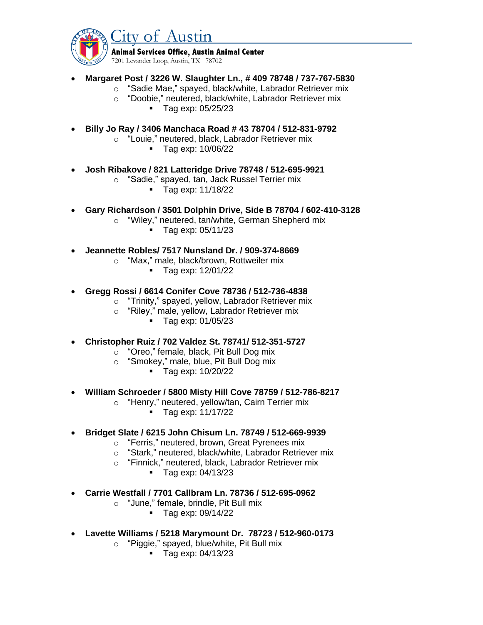

**Animal Services Office, Austin Animal Center** 

7201 Levander Loop, Austin, TX 78702

- **Margaret Post / 3226 W. Slaughter Ln., # 409 78748 / 737-767-5830**
	- o "Sadie Mae," spayed, black/white, Labrador Retriever mix
	- o "Doobie," neutered, black/white, Labrador Retriever mix
		- Tag exp: 05/25/23
- **Billy Jo Ray / 3406 Manchaca Road # 43 78704 / 512-831-9792**
	- o "Louie," neutered, black, Labrador Retriever mix
		- Tag exp: 10/06/22
- **Josh Ribakove / 821 Latteridge Drive 78748 / 512-695-9921**
	- o "Sadie," spayed, tan, Jack Russel Terrier mix
		- Tag exp: 11/18/22
- **Gary Richardson / 3501 Dolphin Drive, Side B 78704 / 602-410-3128**
	- o "Wiley," neutered, tan/white, German Shepherd mix
		- Tag exp: 05/11/23
- **Jeannette Robles/ 7517 Nunsland Dr. / 909-374-8669**
	- o "Max," male, black/brown, Rottweiler mix
		- Tag exp: 12/01/22
- **Gregg Rossi / 6614 Conifer Cove 78736 / 512-736-4838**
	- o "Trinity," spayed, yellow, Labrador Retriever mix
	- o "Riley," male, yellow, Labrador Retriever mix
		- Tag exp: 01/05/23
- **Christopher Ruiz / 702 Valdez St. 78741/ 512-351-5727**
	- o "Oreo," female, black, Pit Bull Dog mix
	- o "Smokey," male, blue, Pit Bull Dog mix
		- Tag exp: 10/20/22
- **William Schroeder / 5800 Misty Hill Cove 78759 / 512-786-8217**
	- o "Henry," neutered, yellow/tan, Cairn Terrier mix
		- Tag exp: 11/17/22
- **Bridget Slate / 6215 John Chisum Ln. 78749 / 512-669-9939**
	- o "Ferris," neutered, brown, Great Pyrenees mix
	- o "Stark," neutered, black/white, Labrador Retriever mix
	- o "Finnick," neutered, black, Labrador Retriever mix
		- Tag exp: 04/13/23
- **Carrie Westfall / 7701 Callbram Ln. 78736 / 512-695-0962**
	- o "June," female, brindle, Pit Bull mix
		- Tag exp: 09/14/22
- **Lavette Williams / 5218 Marymount Dr. 78723 / 512-960-0173**
	- o "Piggie," spayed, blue/white, Pit Bull mix
		- Tag exp: 04/13/23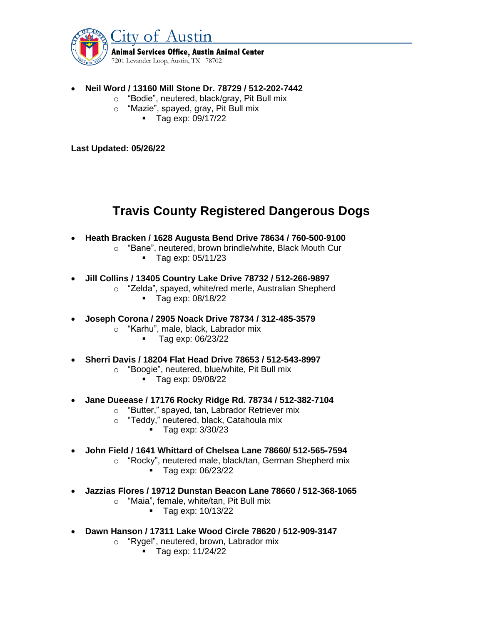

- **Neil Word / 13160 Mill Stone Dr. 78729 / 512-202-7442**
	- o "Bodie", neutered, black/gray, Pit Bull mix
	- o "Mazie", spayed, gray, Pit Bull mix
		- Tag exp: 09/17/22

**Last Updated: 05/26/22**

## **Travis County Registered Dangerous Dogs**

- **Heath Bracken / 1628 Augusta Bend Drive 78634 / 760-500-9100**
	- o "Bane", neutered, brown brindle/white, Black Mouth Cur ■ Tag exp: 05/11/23
- **Jill Collins / 13405 Country Lake Drive 78732 / 512-266-9897**
	- o "Zelda", spayed, white/red merle, Australian Shepherd
		- Tag exp: 08/18/22
- **Joseph Corona / 2905 Noack Drive 78734 / 312-485-3579**
	- o "Karhu", male, black, Labrador mix
		- Tag exp: 06/23/22
- **Sherri Davis / 18204 Flat Head Drive 78653 / 512-543-8997**
	- o "Boogie", neutered, blue/white, Pit Bull mix
		- Tag exp: 09/08/22
- **Jane Dueease / 17176 Rocky Ridge Rd. 78734 / 512-382-7104**
	- o "Butter," spayed, tan, Labrador Retriever mix
	- o "Teddy," neutered, black, Catahoula mix
		- Tag exp: 3/30/23
- **John Field / 1641 Whittard of Chelsea Lane 78660/ 512-565-7594**
	- o "Rocky", neutered male, black/tan, German Shepherd mix
		- Tag exp: 06/23/22
- **Jazzias Flores / 19712 Dunstan Beacon Lane 78660 / 512-368-1065**
	- o "Maia", female, white/tan, Pit Bull mix
		- Tag exp: 10/13/22
- **Dawn Hanson / 17311 Lake Wood Circle 78620 / 512-909-3147**
	- o "Rygel", neutered, brown, Labrador mix
		- Tag exp: 11/24/22